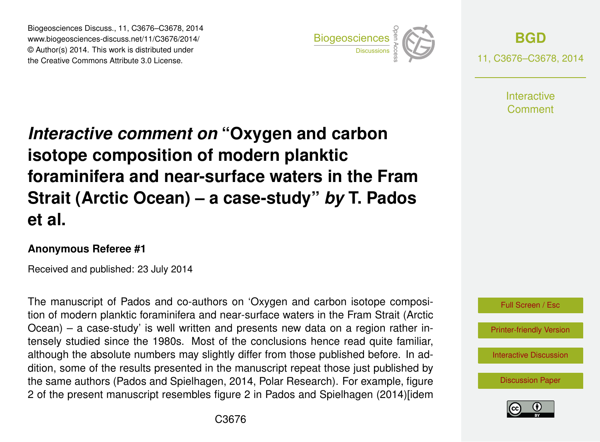Biogeosciences Discuss., 11, C3676–C3678, 2014 www.biogeosciences-discuss.net/11/C3676/2014/ © Author(s) 2014. This work is distributed under Biogeosciences Discuss., 11, C3676–C3678, 2014<br>www.biogeosciences-discuss.net/11/C3676/2014/<br>© Author(s) 2014. This work is distributed under<br>the Creative Commons Attribute 3.0 License.



**[BGD](http://www.biogeosciences-discuss.net)** 11, C3676–C3678, 2014

> **Interactive** Comment

## *Interactive comment on* **"Oxygen and carbon isotope composition of modern planktic foraminifera and near-surface waters in the Fram Strait (Arctic Ocean) – a case-study"** *by* **T. Pados et al.**

## **Anonymous Referee #1**

Received and published: 23 July 2014

The manuscript of Pados and co-authors on 'Oxygen and carbon isotope composition of modern planktic foraminifera and near-surface waters in the Fram Strait (Arctic Ocean) – a case-study' is well written and presents new data on a region rather intensely studied since the 1980s. Most of the conclusions hence read quite familiar, although the absolute numbers may slightly differ from those published before. In addition, some of the results presented in the manuscript repeat those just published by the same authors (Pados and Spielhagen, 2014, Polar Research). For example, figure 2 of the present manuscript resembles figure 2 in Pados and Spielhagen (2014)[idem



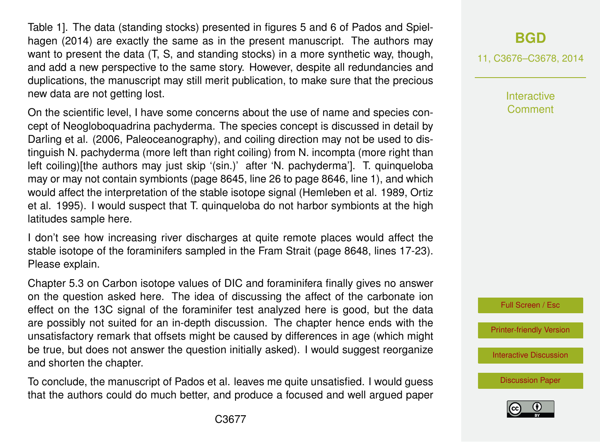Table 1]. The data (standing stocks) presented in figures 5 and 6 of Pados and Spielhagen (2014) are exactly the same as in the present manuscript. The authors may want to present the data (T, S, and standing stocks) in a more synthetic way, though, and add a new perspective to the same story. However, despite all redundancies and duplications, the manuscript may still merit publication, to make sure that the precious new data are not getting lost.

On the scientific level, I have some concerns about the use of name and species concept of Neogloboquadrina pachyderma. The species concept is discussed in detail by Darling et al. (2006, Paleoceanography), and coiling direction may not be used to distinguish N. pachyderma (more left than right coiling) from N. incompta (more right than left coiling)[the authors may just skip '(sin.)' after 'N. pachyderma']. T. quinqueloba may or may not contain symbionts (page 8645, line 26 to page 8646, line 1), and which would affect the interpretation of the stable isotope signal (Hemleben et al. 1989, Ortiz et al. 1995). I would suspect that T. quinqueloba do not harbor symbionts at the high latitudes sample here.

I don't see how increasing river discharges at quite remote places would affect the stable isotope of the foraminifers sampled in the Fram Strait (page 8648, lines 17-23). Please explain.

Chapter 5.3 on Carbon isotope values of DIC and foraminifera finally gives no answer on the question asked here. The idea of discussing the affect of the carbonate ion effect on the 13C signal of the foraminifer test analyzed here is good, but the data are possibly not suited for an in-depth discussion. The chapter hence ends with the unsatisfactory remark that offsets might be caused by differences in age (which might be true, but does not answer the question initially asked). I would suggest reorganize and shorten the chapter.

To conclude, the manuscript of Pados et al. leaves me quite unsatisfied. I would guess that the authors could do much better, and produce a focused and well argued paper

## **[BGD](http://www.biogeosciences-discuss.net)**

11, C3676–C3678, 2014

**Interactive Comment** 



[Printer-friendly Version](http://www.biogeosciences-discuss.net/11/C3676/2014/bgd-11-C3676-2014-print.pdf)

[Interactive Discussion](http://www.biogeosciences-discuss.net/11/8635/2014/bgd-11-8635-2014-discussion.html)

[Discussion Paper](http://www.biogeosciences-discuss.net/11/8635/2014/bgd-11-8635-2014.pdf)